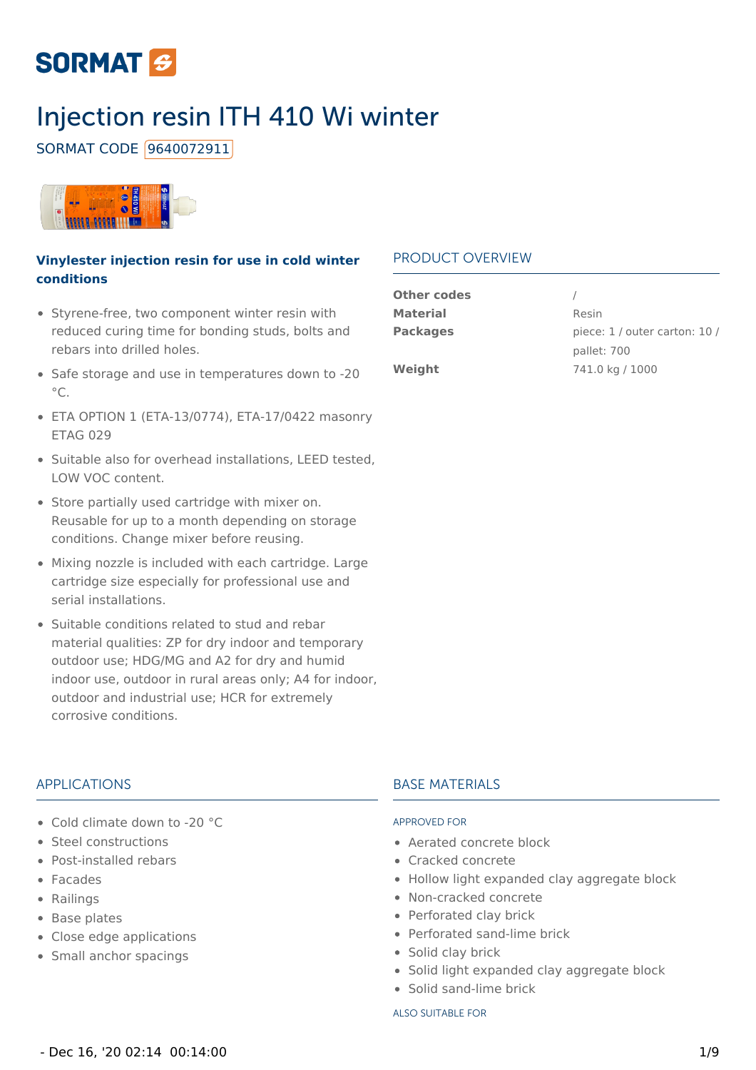# **SORMAT &**

# Injection resin ITH 410 Wi winter

SORMAT CODE 9640072911



### **Vinylester injection resin for use in cold winter conditions**

- Styrene-free, two component winter resin with reduced curing time for bonding studs, bolts and rebars into drilled holes.
- Safe storage and use in temperatures down to -20  $^{\circ}$ C.
- ETA OPTION 1 (ETA-13/0774), ETA-17/0422 masonry ETAG 029
- Suitable also for overhead installations, LEED tested, LOW VOC content.
- Store partially used cartridge with mixer on. Reusable for up to a month depending on storage conditions. Change mixer before reusing.
- Mixing nozzle is included with each cartridge. Large cartridge size especially for professional use and serial installations.
- Suitable conditions related to stud and rebar material qualities: ZP for dry indoor and temporary outdoor use; HDG/MG and A2 for dry and humid indoor use, outdoor in rural areas only; A4 for indoor, outdoor and industrial use; HCR for extremely corrosive conditions.

### PRODUCT OVERVIEW

| <b>Other codes</b> |                               |
|--------------------|-------------------------------|
| <b>Material</b>    | Resin                         |
| <b>Packages</b>    | piece: 1 / outer carton: 10 / |
|                    | pallet: 700                   |
| Weight             | 741.0 kg / 1000               |
|                    |                               |

### APPLICATIONS

- Cold climate down to -20 °C
- Steel constructions
- Post-installed rebars
- Facades
- Railings
- Base plates
- Close edge applications
- Small anchor spacings

### BASE MATERIALS

#### APPROVED FOR

- Aerated concrete block
- Cracked concrete
- Hollow light expanded clay aggregate block
- Non-cracked concrete
- Perforated clay brick
- Perforated sand-lime brick
- Solid clay brick
- Solid light expanded clay aggregate block
- Solid sand-lime brick

#### ALSO SUITABLE FOR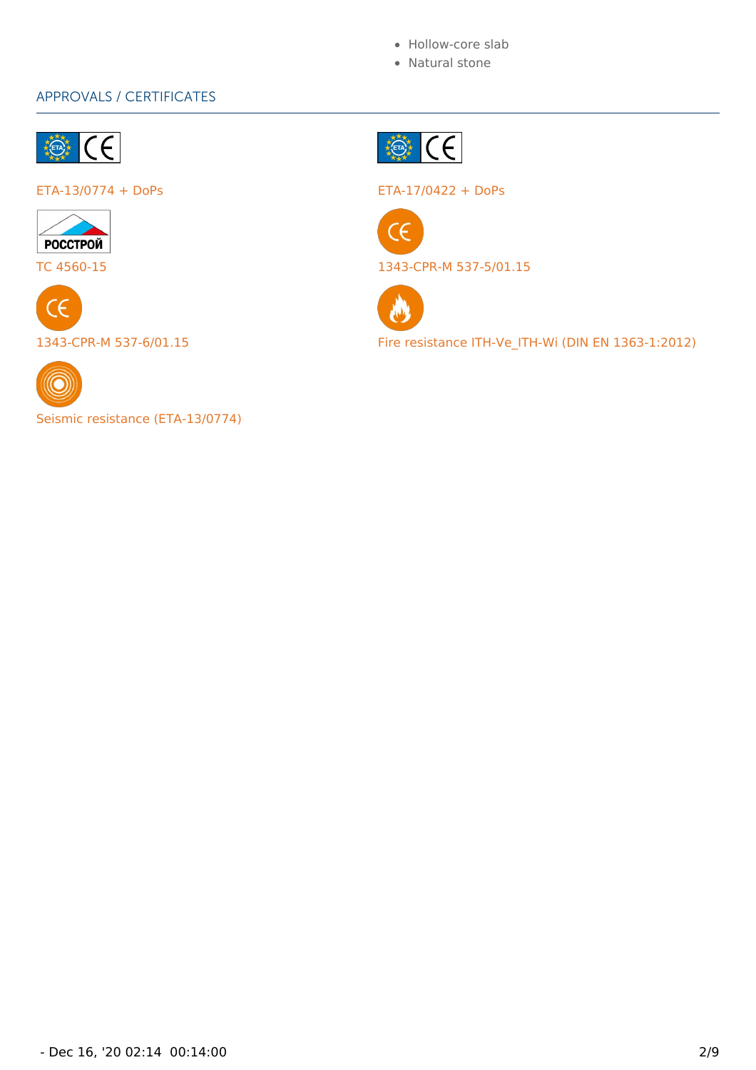- Hollow-core slab
- Natural stone

### APPROVALS / CERTIFICATES









Seismic resistance (ETA-13/0774)



ETA-13/0774 + DoPs ETA-17/0422 + DoPs



TC 4560-15 1343-CPR-M 537-5/01.15



1343-CPR-M 537-6/01.15 Fire resistance ITH-Ve\_ITH-Wi (DIN EN 1363-1:2012)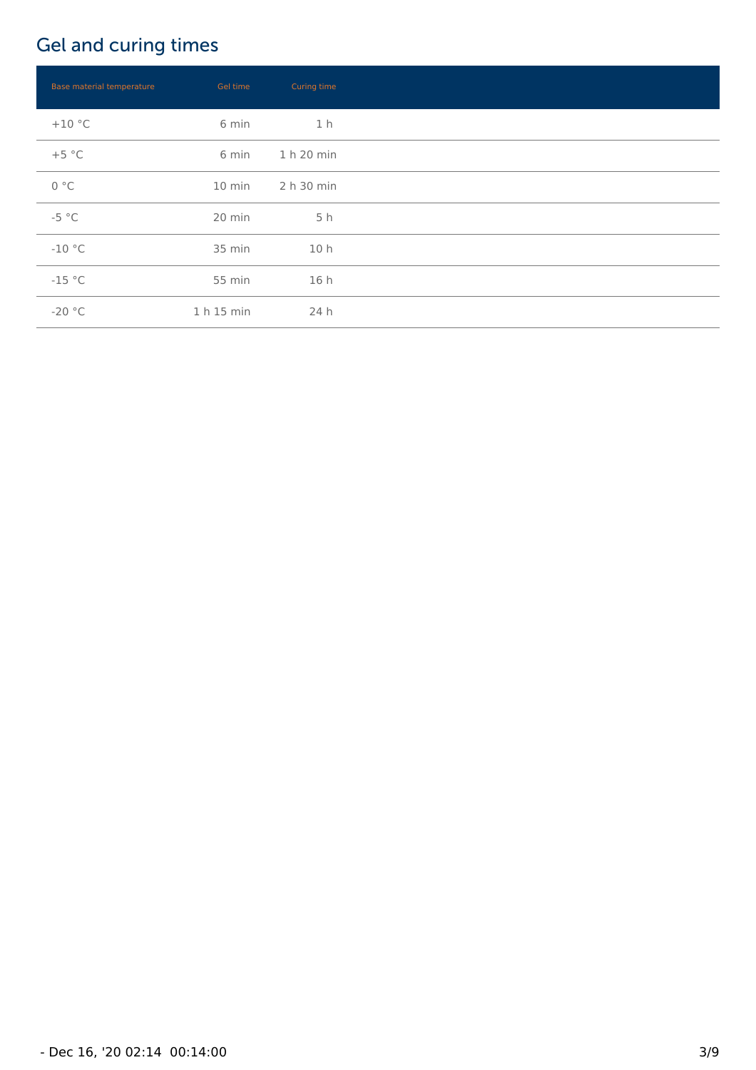# Gel and curing times

| Base material temperature | Gel time   | Curing time |  |
|---------------------------|------------|-------------|--|
| $+10$ °C                  | 6 min      | 1 h         |  |
| $+5 °C$                   | 6 min      | 1 h 20 min  |  |
| 0 °C                      | 10 min     | 2 h 30 min  |  |
| $-5 °C$                   | 20 min     | 5 h         |  |
| $-10$ °C                  | 35 min     | 10 h        |  |
| $-15 °C$                  | 55 min     | 16 h        |  |
| $-20 °C$                  | 1 h 15 min | 24 h        |  |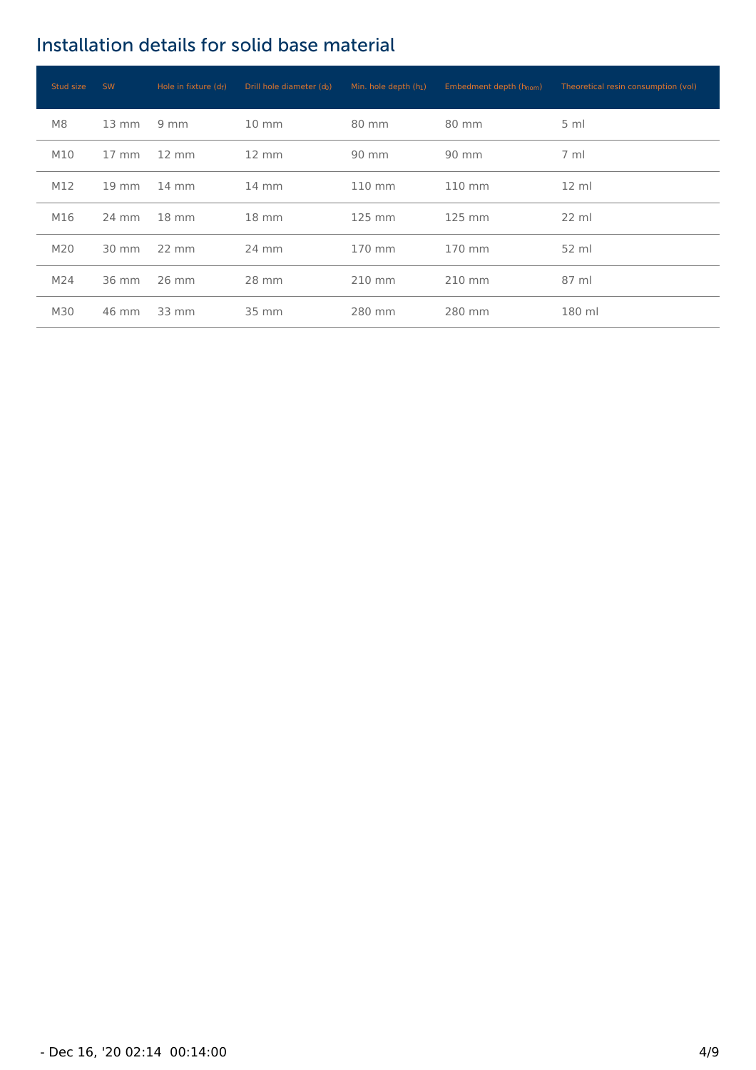## Installation details for solid base material

| Stud size | <b>SW</b>         | Hole in fixture $(d_f)$ | Drill hole diameter (do) | Min. hole depth (h1) | Embedment depth (h <sub>nom</sub> ) | Theoretical resin consumption (vol) |
|-----------|-------------------|-------------------------|--------------------------|----------------------|-------------------------------------|-------------------------------------|
| M8        | $13 \text{ mm}$   | $9 \, \text{mm}$        | $10 \text{ mm}$          | 80 mm                | 80 mm                               | $5 \text{ ml}$                      |
| M10       | $17 \text{ mm}$   | $12 \text{ mm}$         | $12 \, \text{mm}$        | 90 mm                | 90 mm                               | $7 \text{ ml}$                      |
| M12       | $19 \, \text{mm}$ | $14 \text{ mm}$         | $14 \text{ mm}$          | 110 mm               | 110 mm                              | $12 \text{ ml}$                     |
| M16       | 24 mm             | $18 \text{ mm}$         | $18 \, \text{mm}$        | 125 mm               | 125 mm                              | $22 \text{ ml}$                     |
| M20       | 30 mm             | $22 \, \text{mm}$       | 24 mm                    | 170 mm               | 170 mm                              | 52 ml                               |
| M24       | 36 mm             | 26 mm                   | 28 mm                    | 210 mm               | 210 mm                              | 87 ml                               |
| M30       | 46 mm             | 33 mm                   | 35 mm                    | 280 mm               | 280 mm                              | 180 ml                              |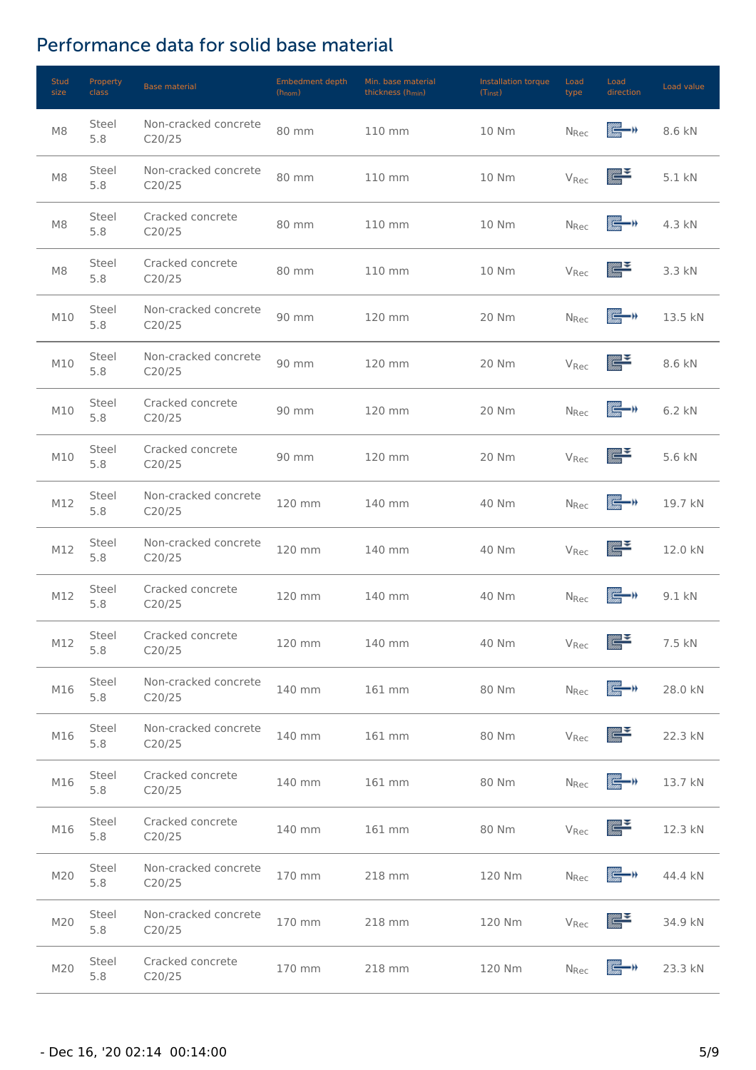## Performance data for solid base material

| <b>Stud</b><br>size | Property<br><b>class</b> | <b>Base material</b>           | <b>Embedment depth</b><br>$(h_{nom})$ | Min. base material<br>thickness (h <sub>min</sub> ) | Installation torque<br>$(T_{inst})$ | Load<br>type            | Load<br>direction            | Load value |
|---------------------|--------------------------|--------------------------------|---------------------------------------|-----------------------------------------------------|-------------------------------------|-------------------------|------------------------------|------------|
| M8                  | Steel<br>5.8             | Non-cracked concrete<br>C20/25 | 80 mm                                 | 110 mm                                              | 10 Nm                               | <b>N</b> <sub>Rec</sub> | k de                         | 8.6 kN     |
| M8                  | Steel<br>5.8             | Non-cracked concrete<br>C20/25 | 80 mm                                 | 110 mm                                              | 10 Nm                               | V <sub>Rec</sub>        | rijas <b>ir 3</b><br>Gauss   | 5.1 kN     |
| M8                  | Steel<br>5.8             | Cracked concrete<br>C20/25     | 80 mm                                 | 110 mm                                              | 10 Nm                               | $N_{Rec}$               | e—)                          | 4.3 kN     |
| M8                  | Steel<br>5.8             | Cracked concrete<br>C20/25     | 80 mm                                 | 110 mm                                              | 10 Nm                               | V <sub>Rec</sub>        | $\sum_{\text{trans}}$        | 3.3 kN     |
| M10                 | Steel<br>5.8             | Non-cracked concrete<br>C20/25 | 90 mm                                 | 120 mm                                              | 20 Nm                               | <b>N</b> <sub>Rec</sub> | e—)                          | 13.5 kN    |
| M10                 | Steel<br>5.8             | Non-cracked concrete<br>C20/25 | 90 mm                                 | 120 mm                                              | 20 Nm                               | V <sub>Rec</sub>        | <u>ggan S</u>                | 8.6 kN     |
| M10                 | Steel<br>5.8             | Cracked concrete<br>C20/25     | 90 mm                                 | 120 mm                                              | 20 Nm                               | <b>N</b> <sub>Rec</sub> | e v                          | 6.2 kN     |
| M10                 | Steel<br>5.8             | Cracked concrete<br>C20/25     | 90 mm                                 | 120 mm                                              | 20 Nm                               | V <sub>Rec</sub>        | <u>ggan S</u>                | 5.6 kN     |
| M12                 | Steel<br>5.8             | Non-cracked concrete<br>C20/25 | 120 mm                                | 140 mm                                              | 40 Nm                               | <b>N</b> <sub>Rec</sub> | e—,                          | 19.7 kN    |
| M12                 | Steel<br>5.8             | Non-cracked concrete<br>C20/25 | 120 mm                                | 140 mm                                              | 40 Nm                               | V <sub>Rec</sub>        | $\sum_{i=1}^{\infty}$        | 12.0 kN    |
| M12                 | Steel<br>5.8             | Cracked concrete<br>C20/25     | 120 mm                                | 140 mm                                              | 40 Nm                               | <b>N</b> <sub>Rec</sub> | k – r                        | 9.1 kN     |
| M12                 | Steel<br>5.8             | Cracked concrete<br>C20/25     | 120 mm                                | 140 mm                                              | 40 Nm                               | $\rm V_{Rec}$           | agan Sa<br>Tarihi            | 7.5 kN     |
| M16                 | Steel<br>5.8             | Non-cracked concrete<br>C20/25 | 140 mm                                | 161 mm                                              | 80 Nm                               | N <sub>Rec</sub>        | is – r                       | 28.0 kN    |
| M16                 | Steel<br>5.8             | Non-cracked concrete<br>C20/25 | 140 mm                                | 161 mm                                              | 80 Nm                               | V <sub>Rec</sub>        | anas Santa Salah<br>Kalendar | 22.3 kN    |
| M16                 | Steel<br>5.8             | Cracked concrete<br>C20/25     | 140 mm                                | 161 mm                                              | 80 Nm                               | N <sub>Rec</sub>        | r –                          | 13.7 kN    |
| M16                 | Steel<br>5.8             | Cracked concrete<br>C20/25     | 140 mm                                | 161 mm                                              | 80 Nm                               | V <sub>Rec</sub>        | <u>ggan S</u>                | 12.3 kN    |
| M20                 | Steel<br>5.8             | Non-cracked concrete<br>C20/25 | 170 mm                                | 218 mm                                              | 120 Nm                              | N <sub>Rec</sub>        | e—,                          | 44.4 kN    |
| M20                 | Steel<br>5.8             | Non-cracked concrete<br>C20/25 | 170 mm                                | 218 mm                                              | 120 Nm                              | V <sub>Rec</sub>        | $\frac{1}{2}$                | 34.9 kN    |
| M20                 | Steel<br>5.8             | Cracked concrete<br>C20/25     | 170 mm                                | 218 mm                                              | 120 Nm                              | N <sub>Rec</sub>        | ※ 一 )                        | 23.3 kN    |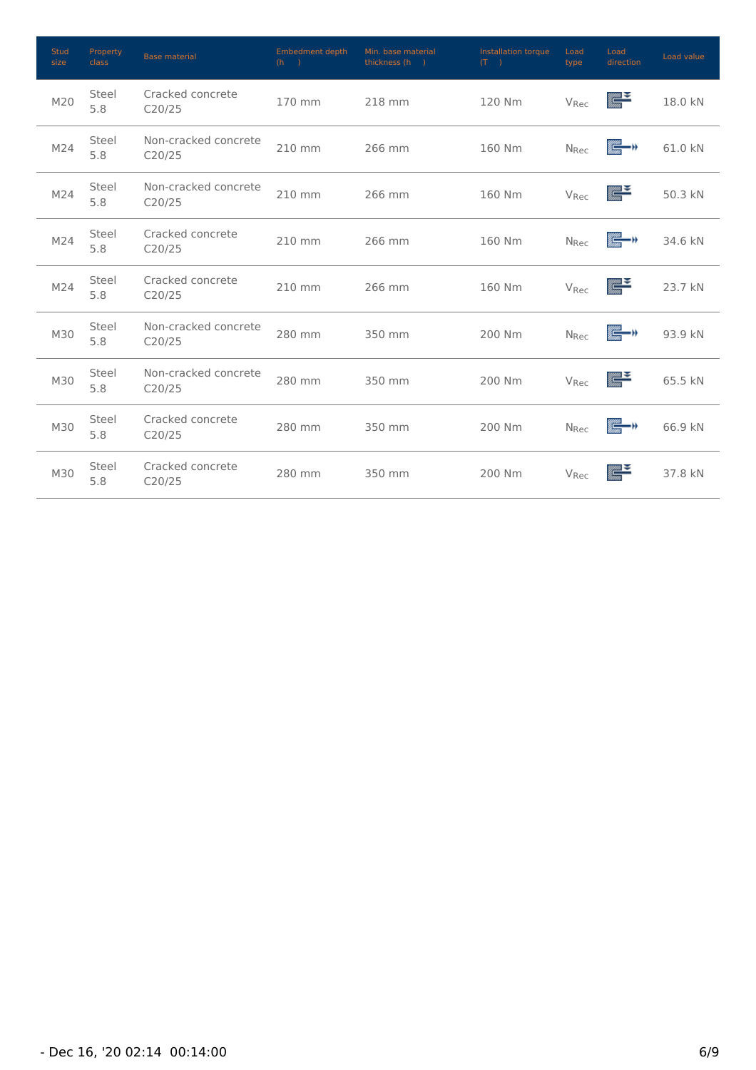| <b>Stud</b><br>size | Property<br>class | <b>Base material</b>           | Embedment depth<br>(h) | Min. base material<br>thickness (h) | Installation torque<br>(T) | Load<br>type            | Load<br>direction     | Load value |
|---------------------|-------------------|--------------------------------|------------------------|-------------------------------------|----------------------------|-------------------------|-----------------------|------------|
| M20                 | Steel<br>5.8      | Cracked concrete<br>C20/25     | 170 mm                 | 218 mm                              | 120 Nm                     | V <sub>Rec</sub>        | $\frac{1}{2}$         | 18.0 kN    |
| M24                 | Steel<br>5.8      | Non-cracked concrete<br>C20/25 | 210 mm                 | 266 mm                              | 160 Nm                     | <b>N</b> <sub>Rec</sub> | is – d                | 61.0 kN    |
| M24                 | Steel<br>5.8      | Non-cracked concrete<br>C20/25 | 210 mm                 | 266 mm                              | 160 Nm                     | V <sub>Rec</sub>        | $\sum_{i=1}^{\infty}$ | 50.3 kN    |
| M24                 | Steel<br>5.8      | Cracked concrete<br>C20/25     | 210 mm                 | 266 mm                              | 160 Nm                     | <b>N</b> <sub>Rec</sub> | ig – r                | 34.6 kN    |
| M24                 | Steel<br>5.8      | Cracked concrete<br>C20/25     | 210 mm                 | 266 mm                              | 160 Nm                     | V <sub>Rec</sub>        | $\sum_{i=1}^{\infty}$ | 23.7 kN    |
| M30                 | Steel<br>5.8      | Non-cracked concrete<br>C20/25 | 280 mm                 | 350 mm                              | 200 Nm                     | <b>N</b> <sub>Rec</sub> | ▓▅▅                   | 93.9 kN    |
| M30                 | Steel<br>5.8      | Non-cracked concrete<br>C20/25 | 280 mm                 | 350 mm                              | 200 Nm                     | V <sub>Rec</sub>        | $\sum_{\text{trans}}$ | 65.5 kN    |
| M30                 | Steel<br>5.8      | Cracked concrete<br>C20/25     | 280 mm                 | 350 mm                              | 200 Nm                     | <b>N</b> <sub>Rec</sub> | ig—)                  | 66.9 kN    |
| M30                 | Steel<br>5.8      | Cracked concrete<br>C20/25     | 280 mm                 | 350 mm                              | 200 Nm                     | V <sub>Rec</sub>        | ⋐                     | 37.8 kN    |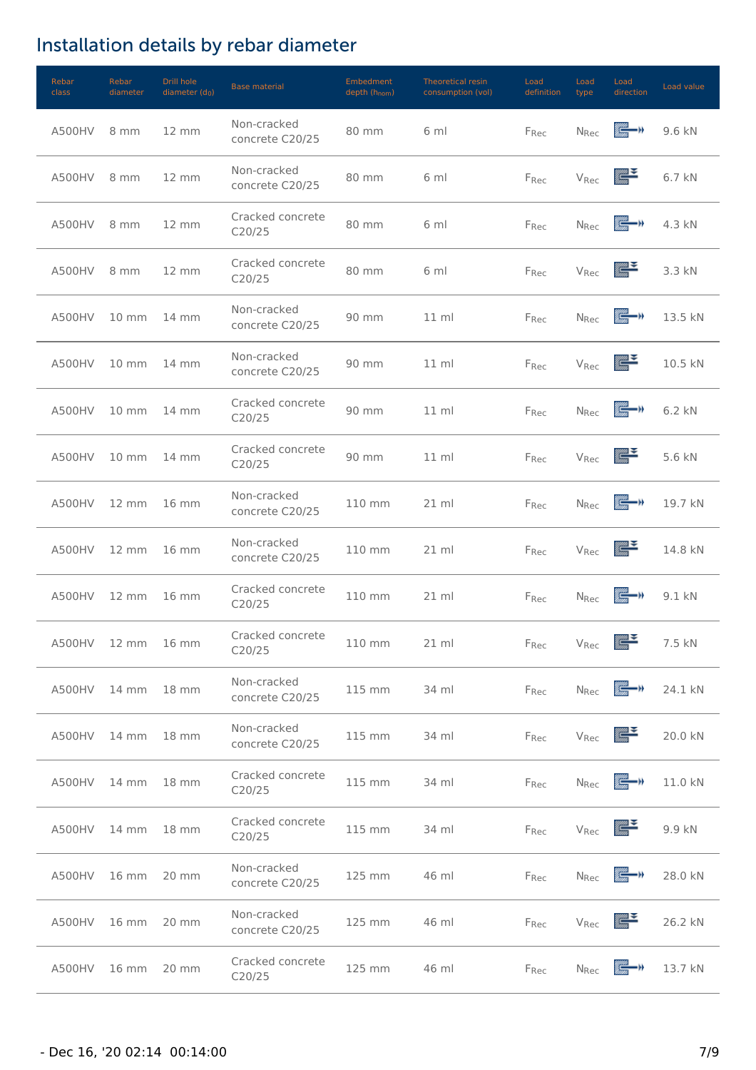# Installation details by rebar diameter

| Rebar<br>class | Rebar<br>diameter  | Drill hole<br>diameter $(d_0)$ | <b>Base material</b>           | Embedment<br>depth (h <sub>nom</sub> ) | Theoretical resin<br>consumption (vol) | Load<br>definition | Load<br>type            | Load<br>direction                                                                                                                                                                                                                | Load value |
|----------------|--------------------|--------------------------------|--------------------------------|----------------------------------------|----------------------------------------|--------------------|-------------------------|----------------------------------------------------------------------------------------------------------------------------------------------------------------------------------------------------------------------------------|------------|
| A500HV         | 8 mm               | 12 mm                          | Non-cracked<br>concrete C20/25 | 80 mm                                  | 6 ml                                   | F <sub>Rec</sub>   | <b>N</b> <sub>Rec</sub> | Œ—n                                                                                                                                                                                                                              | 9.6 kN     |
| A500HV         | 8 mm               | $12 \, \text{mm}$              | Non-cracked<br>concrete C20/25 | 80 mm                                  | 6 ml                                   | Frec               | V <sub>Rec</sub>        | <u>ayaa So</u><br>ama                                                                                                                                                                                                            | 6.7 kN     |
| A500HV         | 8 mm               | $12 \, \text{mm}$              | Cracked concrete<br>C20/25     | 80 mm                                  | 6 ml                                   | F <sub>Rec</sub>   | <b>N</b> <sub>Rec</sub> | tij de staat van de gewone van de voorbeeld van de voorbeeld van de voorbeeld van de voorbeeld van de voorbeel<br>De voorbeeld van de voorbeeld van de voorbeeld van de voorbeeld van de voorbeeld van de voorbeeld van de voorb | 4.3 kN     |
| A500HV         | 8 mm               | $12 \, \text{mm}$              | Cracked concrete<br>C20/25     | 80 mm                                  | 6 ml                                   | $F_{Rec}$          | V <sub>Rec</sub>        | $\sum_{\text{max}}$                                                                                                                                                                                                              | 3.3 kN     |
| A500HV         | $10 \, \text{mm}$  | 14 mm                          | Non-cracked<br>concrete C20/25 | 90 mm                                  | $11 \mathrm{m}$                        | FRec               | N <sub>Rec</sub>        | {−n                                                                                                                                                                                                                              | 13.5 kN    |
| A500HV         | $10 \, \text{mm}$  | $14 \, \text{mm}$              | Non-cracked<br>concrete C20/25 | 90 mm                                  | $11 \mathrm{m}$                        | F <sub>Rec</sub>   | V <sub>Rec</sub>        | ⋐                                                                                                                                                                                                                                | 10.5 kN    |
| A500HV         | $10 \, \text{mm}$  | $14 \text{ mm}$                | Cracked concrete<br>C20/25     | 90 mm                                  | $11 \mathrm{m}$                        | FRec               | <b>N</b> <sub>Rec</sub> | k – r                                                                                                                                                                                                                            | 6.2 kN     |
| A500HV         | $10 \, \text{mm}$  | $14 \, \mathrm{mm}$            | Cracked concrete<br>C20/25     | 90 mm                                  | $11$ ml                                | F <sub>Rec</sub>   | V <sub>Rec</sub>        | ⋐                                                                                                                                                                                                                                | 5.6 kN     |
| A500HV         | $12 \, \text{mm}$  | $16 \, \mathrm{mm}$            | Non-cracked<br>concrete C20/25 | 110 mm                                 | 21 ml                                  | F <sub>Rec</sub>   | $N_{Rec}$               | k – v                                                                                                                                                                                                                            | 19.7 kN    |
| A500HV         | $12 \, \text{mm}$  | $16 \, \text{mm}$              | Non-cracked<br>concrete C20/25 | 110 mm                                 | 21 ml                                  | F <sub>Rec</sub>   | V <sub>Rec</sub>        | $\sum_{\text{max}}$                                                                                                                                                                                                              | 14.8 kN    |
| A500HV         | $12 \, \text{mm}$  | $16 \, \text{mm}$              | Cracked concrete<br>C20/25     | 110 mm                                 | $21$ ml                                | Frec               | <b>N</b> <sub>Rec</sub> | ▓▄▏»                                                                                                                                                                                                                             | 9.1 kN     |
|                | A500HV 12 mm 16 mm |                                | Cracked concrete<br>C20/25     | 110 mm                                 | $21$ ml                                | $F_{Rec}$          |                         | $V_{\text{Rec}}$                                                                                                                                                                                                                 | 7.5 kN     |
| A500HV         | 14 mm              | 18 mm                          | Non-cracked<br>concrete C20/25 | 115 mm                                 | 34 ml                                  | Frec               | <b>N</b> <sub>Rec</sub> | e – n                                                                                                                                                                                                                            | 24.1 kN    |
| A500HV         | 14 mm              | 18 mm                          | Non-cracked<br>concrete C20/25 | 115 mm                                 | 34 ml                                  | F <sub>Rec</sub>   | V <sub>Rec</sub>        | aguas <b>San</b><br>Tarras                                                                                                                                                                                                       | 20.0 kN    |
| A500HV         | $14 \, \text{mm}$  | 18 mm                          | Cracked concrete<br>C20/25     | 115 mm                                 | 34 ml                                  | F <sub>Rec</sub>   | $N_{Rec}$               | k – r                                                                                                                                                                                                                            | 11.0 kN    |
| A500HV         | 14 mm              | 18 mm                          | Cracked concrete<br>C20/25     | 115 mm                                 | 34 ml                                  | F <sub>Rec</sub>   | V <sub>Rec</sub>        | <u>ggan S</u>                                                                                                                                                                                                                    | 9.9 kN     |
| A500HV         | 16 mm              | 20 mm                          | Non-cracked<br>concrete C20/25 | 125 mm                                 | 46 ml                                  | F <sub>Rec</sub>   | <b>N</b> <sub>Rec</sub> | r –                                                                                                                                                                                                                              | 28.0 kN    |
| A500HV         | 16 mm              | 20 mm                          | Non-cracked<br>concrete C20/25 | 125 mm                                 | 46 ml                                  | F <sub>Rec</sub>   | V <sub>Rec</sub>        | ▓▀                                                                                                                                                                                                                               | 26.2 kN    |
| A500HV         | 16 mm              | 20 mm                          | Cracked concrete<br>C20/25     | 125 mm                                 | 46 ml                                  | Frec               | N <sub>Rec</sub>        | e –                                                                                                                                                                                                                              | 13.7 kN    |